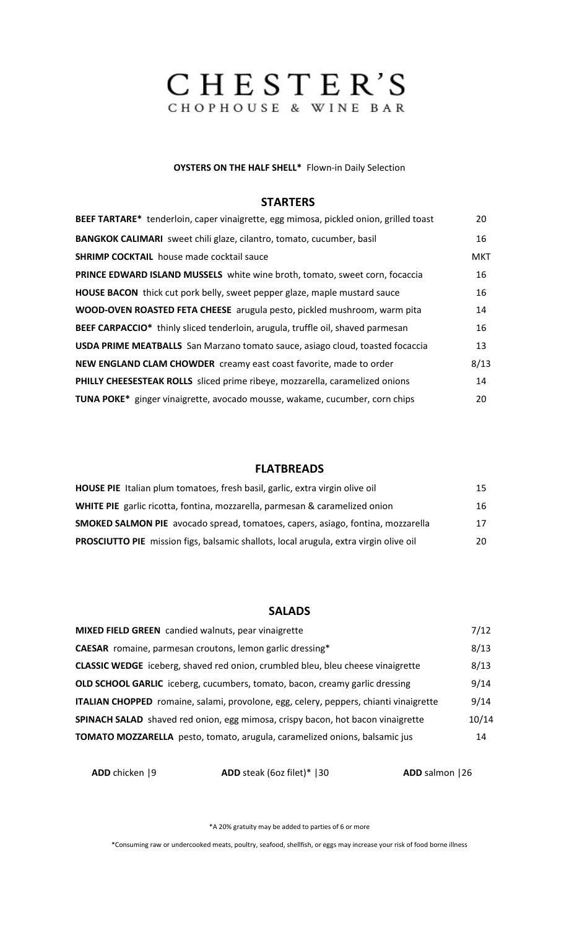# CHESTER'S

#### **OYSTERS ON THE HALF SHELL\*** Flown-in Daily Selection

#### **STARTERS**

| BEEF TARTARE* tenderloin, caper vinaigrette, egg mimosa, pickled onion, grilled toast | 20         |
|---------------------------------------------------------------------------------------|------------|
| BANGKOK CALIMARI sweet chili glaze, cilantro, tomato, cucumber, basil                 | 16         |
| <b>SHRIMP COCKTAIL</b> house made cocktail sauce                                      | <b>MKT</b> |
| PRINCE EDWARD ISLAND MUSSELS white wine broth, tomato, sweet corn, focaccia           | 16         |
| <b>HOUSE BACON</b> thick cut pork belly, sweet pepper glaze, maple mustard sauce      | 16         |
| WOOD-OVEN ROASTED FETA CHEESE arugula pesto, pickled mushroom, warm pita              | 14         |
| BEEF CARPACCIO* thinly sliced tenderloin, arugula, truffle oil, shaved parmesan       | 16         |
| <b>USDA PRIME MEATBALLS</b> San Marzano tomato sauce, asiago cloud, toasted focaccia  | 13         |
| NEW ENGLAND CLAM CHOWDER creamy east coast favorite, made to order                    | 8/13       |
| PHILLY CHEESESTEAK ROLLS sliced prime ribeye, mozzarella, caramelized onions          | 14         |
| TUNA POKE* ginger vinaigrette, avocado mousse, wakame, cucumber, corn chips           | 20         |

# **FLATBREADS**

| HOUSE PIE Italian plum tomatoes, fresh basil, garlic, extra virgin olive oil          | 15 |
|---------------------------------------------------------------------------------------|----|
| <b>WHITE PIE</b> garlic ricotta, fontina, mozzarella, parmesan & caramelized onion    | 16 |
| SMOKED SALMON PIE avocado spread, tomatoes, capers, asiago, fontina, mozzarella       | 17 |
| PROSCIUTTO PIE mission figs, balsamic shallots, local arugula, extra virgin olive oil | 20 |

## **SALADS**

| MIXED FIELD GREEN candied walnuts, pear vinaigrette                                    | 7/12  |
|----------------------------------------------------------------------------------------|-------|
| <b>CAESAR</b> romaine, parmesan croutons, lemon garlic dressing*                       | 8/13  |
| CLASSIC WEDGE iceberg, shaved red onion, crumbled bleu, bleu cheese vinaigrette        | 8/13  |
| <b>OLD SCHOOL GARLIC</b> iceberg, cucumbers, tomato, bacon, creamy garlic dressing     | 9/14  |
| ITALIAN CHOPPED romaine, salami, provolone, egg, celery, peppers, chianti vinaigrette  | 9/14  |
| <b>SPINACH SALAD</b> shaved red onion, egg mimosa, crispy bacon, hot bacon vinaigrette | 10/14 |
| TOMATO MOZZARELLA pesto, tomato, arugula, caramelized onions, balsamic jus             | 14    |

 **ADD** chicken |9 **ADD** steak (6oz filet)\* |30 **ADD** salmon |26

\*A 20% gratuity may be added to parties of 6 or more

\*Consuming raw or undercooked meats, poultry, seafood, shellfish, or eggs may increase your risk of food borne illness